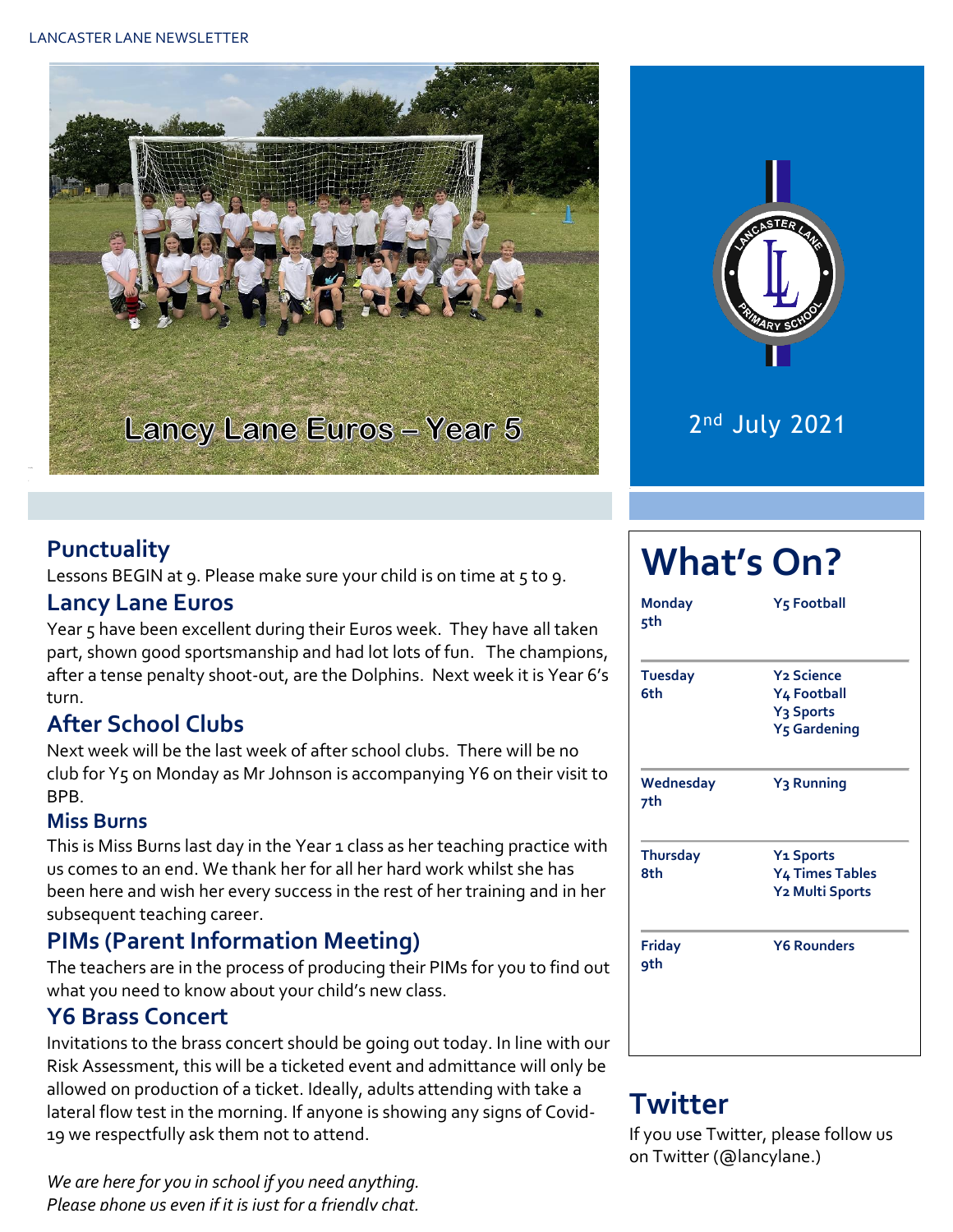#### LANCASTER LANE NEWSLETTER





2 nd July 2021

#### **Punctuality**

Lessons BEGIN at 9. Please make sure your child is on time at 5 to 9.

#### **Lancy Lane Euros**

Year 5 have been excellent during their Euros week. They have all taken part, shown good sportsmanship and had lot lots of fun. The champions, after a tense penalty shoot-out, are the Dolphins. Next week it is Year 6's turn.

#### **After School Clubs**

Next week will be the last week of after school clubs. There will be no club for Y5 on Monday as Mr Johnson is accompanying Y6 on their visit to BPB.

#### **Miss Burns**

This is Miss Burns last day in the Year 1 class as her teaching practice with us comes to an end. We thank her for all her hard work whilst she has been here and wish her every success in the rest of her training and in her subsequent teaching career.

#### **PIMs (Parent Information Meeting)**

The teachers are in the process of producing their PIMs for you to find out what you need to know about your child's new class.

#### **Y6 Brass Concert**

Invitations to the brass concert should be going out today. In line with our Risk Assessment, this will be a ticketed event and admittance will only be allowed on production of a ticket. Ideally, adults attending with take a lateral flow test in the morning. If anyone is showing any signs of Covid-19 we respectfully ask them not to attend.

*We are here for you in school if you need anything. Please phone us even if it is just for a friendly chat.* 

# **What's On?**

| <b>Monday</b><br>5th   | <b>Y<sub>5</sub> Football</b>                                                 |  |  |  |  |
|------------------------|-------------------------------------------------------------------------------|--|--|--|--|
| <b>Tuesday</b><br>6th  | <b>Y<sub>2</sub></b> Science<br>Y4 Football                                   |  |  |  |  |
|                        | Y <sub>3</sub> Sports<br><b>Y<sub>5</sub></b> Gardening                       |  |  |  |  |
| Wednesday<br>7th       | Y <sub>3</sub> Running                                                        |  |  |  |  |
| <b>Thursday</b><br>8th | <b>Y<sub>1</sub></b> Sports<br>Y <sub>4</sub> Times Tables<br>Y2 Multi Sports |  |  |  |  |
| <b>Friday</b><br>9th   | <b>Y6 Rounders</b>                                                            |  |  |  |  |

## **Twitter**

If you use Twitter, please follow us on Twitter (@lancylane.)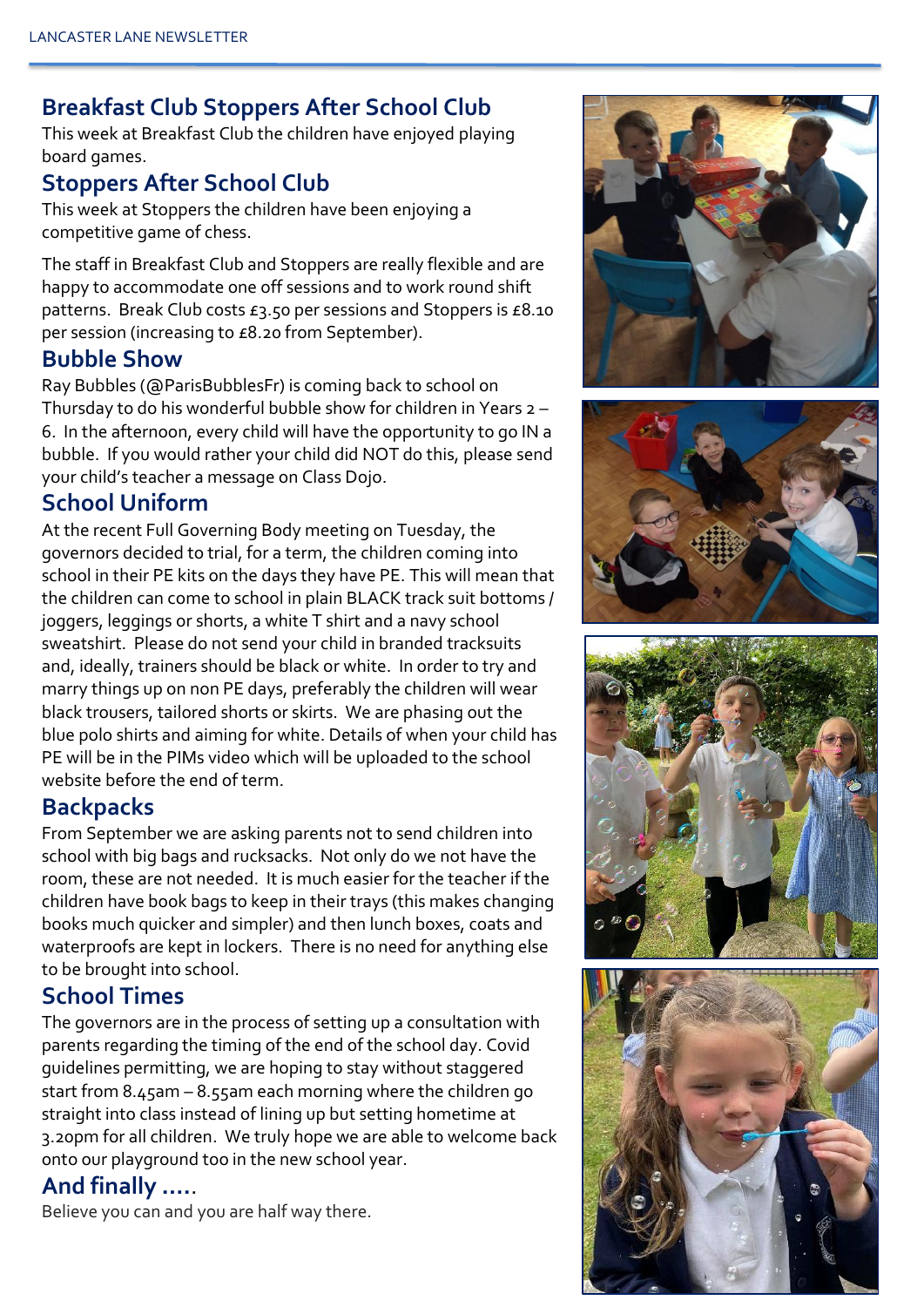### **Breakfast Club Stoppers After School Club**

This week at Breakfast Club the children have enjoyed playing board games.

#### **Stoppers After School Club**

This week at Stoppers the children have been enjoying a competitive game of chess.

The staff in Breakfast Club and Stoppers are really flexible and are happy to accommodate one off sessions and to work round shift patterns. Break Club costs £3.50 per sessions and Stoppers is £8.10 per session (increasing to £8.20 from September).

#### **Bubble Show**

Ray Bubbles (@ParisBubblesFr) is coming back to school on Thursday to do his wonderful bubble show for children in Years 2 – 6. In the afternoon, every child will have the opportunity to go IN a bubble. If you would rather your child did NOT do this, please send your child's teacher a message on Class Dojo.

#### **School Uniform**

At the recent Full Governing Body meeting on Tuesday, the governors decided to trial, for a term, the children coming into school in their PE kits on the days they have PE. This will mean that the children can come to school in plain BLACK track suit bottoms / joggers, leggings or shorts, a white T shirt and a navy school sweatshirt. Please do not send your child in branded tracksuits and, ideally, trainers should be black or white. In order to try and marry things up on non PE days, preferably the children will wear black trousers, tailored shorts or skirts. We are phasing out the blue polo shirts and aiming for white. Details of when your child has PE will be in the PIMs video which will be uploaded to the school website before the end of term.

#### **Backpacks**

From September we are asking parents not to send children into school with big bags and rucksacks. Not only do we not have the room, these are not needed. It is much easier for the teacher if the children have book bags to keep in their trays (this makes changing books much quicker and simpler) and then lunch boxes, coats and waterproofs are kept in lockers. There is no need for anything else to be brought into school.

#### **School Times**

The governors are in the process of setting up a consultation with parents regarding the timing of the end of the school day. Covid guidelines permitting, we are hoping to stay without staggered start from 8.45am – 8.55am each morning where the children go straight into class instead of lining up but setting hometime at 3.20pm for all children. We truly hope we are able to welcome back onto our playground too in the new school year.

## **And finally ….**.

Believe you can and you are half way there.